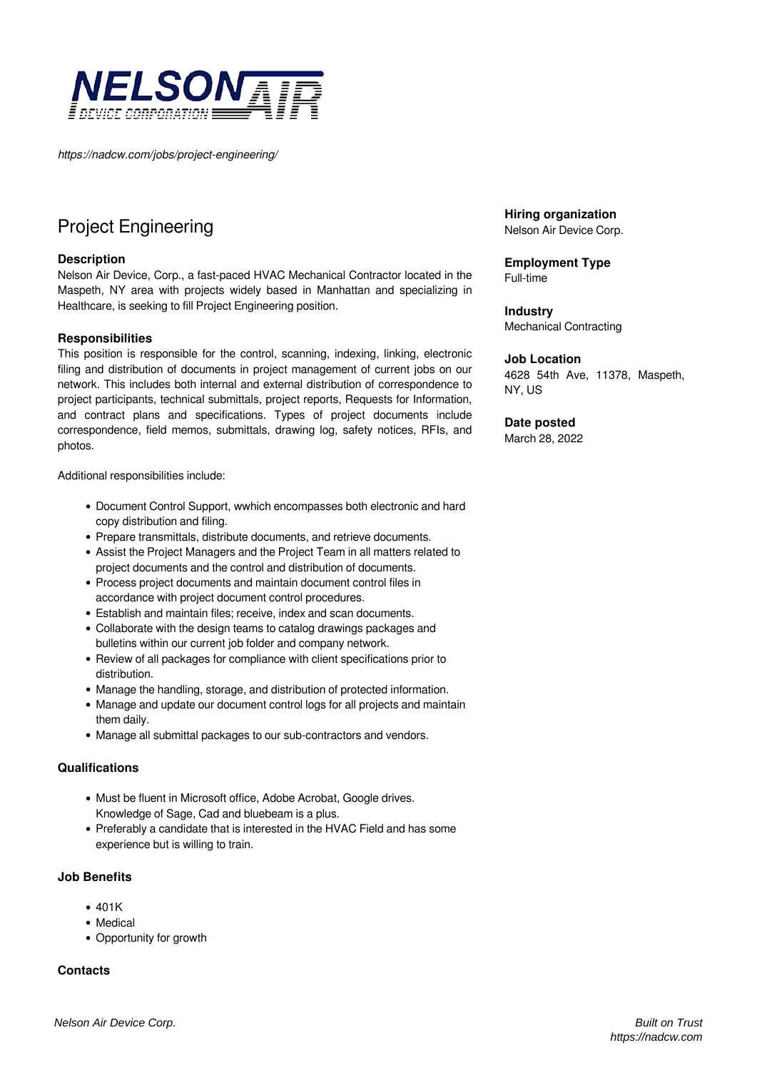

*https://nadcw.com/jobs/project-engineering/*

# [Project Engineering](https://nadcw.com/jobs/)

## **[Description](https://nadcw.com/jobs/)**

[Nelson Air Device, Corp., a fast-paced HVAC Mechanical Contractor located in the](https://nadcw.com/jobs/) [Maspeth, NY area with projects widely based in Manhattan and specializing in](https://nadcw.com/jobs/) [Healthcare, is seeking to fill Project Engineering position.](https://nadcw.com/jobs/) 

## **[Responsibilities](https://nadcw.com/jobs/)**

[This position is responsible for the control, scanning, indexing, linking, electronic](https://nadcw.com/jobs/) [filing and distribution of documents in project management of current jobs on our](https://nadcw.com/jobs/) [network. This includes both internal and external distribution of correspondence to](https://nadcw.com/jobs/) [project participants, technical submittals, project reports, Requests for Information,](https://nadcw.com/jobs/) [and contract plans and specifications. Types of project documents include](https://nadcw.com/jobs/) [correspondence, field memos, submittals, drawing log, safety notices, RFIs, and](https://nadcw.com/jobs/) [photos.](https://nadcw.com/jobs/)

[Additional responsibilities include:](https://nadcw.com/jobs/)

- [Document Control Support, wwhich encompasses both electronic and hard](https://nadcw.com/jobs/) [copy distribution and filing.](https://nadcw.com/jobs/)
- [Prepare transmittals, distribute documents, and retrieve documents.](https://nadcw.com/jobs/)
- [Assist the Project Managers and the Project Team in all matters related to](https://nadcw.com/jobs/) [project documents and the control and distribution of documents.](https://nadcw.com/jobs/)
- [Process project documents and maintain document control files in](https://nadcw.com/jobs/) [accordance with project document control procedures.](https://nadcw.com/jobs/)
- [Establish and maintain files; receive, index and scan documents.](https://nadcw.com/jobs/)
- [Collaborate with the design teams to catalog drawings packages and](https://nadcw.com/jobs/) [bulletins within our current job folder and company network.](https://nadcw.com/jobs/)
- [Review of all packages for compliance with client specifications prior to](https://nadcw.com/jobs/) [distribution.](https://nadcw.com/jobs/)
- [Manage the handling, storage, and distribution of protected information.](https://nadcw.com/jobs/)
- [Manage and update our document control logs for all projects and maintain](https://nadcw.com/jobs/) [them daily.](https://nadcw.com/jobs/)
- [Manage all submittal packages to our sub-contractors and vendors.](https://nadcw.com/jobs/)

## **[Qualifications](https://nadcw.com/jobs/)**

- [Must be fluent in Microsoft office, Adobe Acrobat, Google drives.](https://nadcw.com/jobs/) [Knowledge of Sage, Cad and bluebeam is a plus.](https://nadcw.com/jobs/)
- [Preferably a candidate that is interested in the HVAC Field and has some](https://nadcw.com/jobs/) [experience but is willing to train.](https://nadcw.com/jobs/)

## **[Job Benefits](https://nadcw.com/jobs/)**

- $-401K$  $-401K$
- [Medical](https://nadcw.com/jobs/)
- [Opportunity for growth](https://nadcw.com/jobs/)

## **[Contacts](https://nadcw.com/jobs/)**

**Hiring organization** Nelson Air Device Corp.

**Employment Type** Full-time

**Industry** Mechanical Contracting

## **Job Location**

4628 54th Ave, 11378, Maspeth, NY, US

## **Date posted**

March 28, 2022